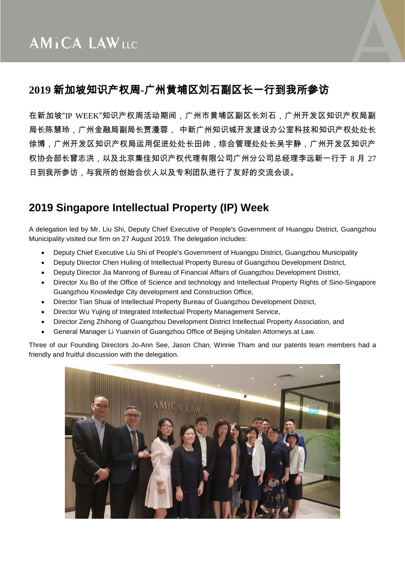## **2019** 新加坡知识产权周**-**广州黄埔区刘石副区长一行到我所参访

在新加坡"IP WEEK"知识产权周活动期间,广州市黄埔区副区长刘石,广州开发区知识产权局副 局长陈慧玲,广州金融局副局长贾漫蓉, 中新广州知识城开发建设办公室科技和知识产权处处长 徐博,广州开发区知识产权局运用促进处处长田帅,综合管理处处长吴宇静,广州开发区知识产 权协会部长曾志洪,以及北京集佳知识产权代理有限公司广州分公司总经理李远新一行于 8 月 27 日到我所参访,与我所的创始合伙人以及专利团队进行了友好的交流会谈。

## **2019 Singapore Intellectual Property (IP) Week**

A delegation led by Mr. Liu Shi, Deputy Chief Executive of People's Government of Huangpu District, Guangzhou Municipality visited our firm on 27 August 2019. The delegation includes:

- Deputy Chief Executive Liu Shi of People's Government of Huangpu District, Guangzhou Municipality
- Deputy Director Chen Huiling of Intellectual Property Bureau of Guangzhou Development District,
- Deputy Director Jia Manrong of Bureau of Financial Affairs of Guangzhou Development District,
- Director Xu Bo of the Office of Science and technology and Intellectual Property Rights of Sino-Singapore Guangzhou Knowledge City development and Construction Office,
- Director Tian Shuai of Intellectual Property Bureau of Guangzhou Development District,
- Director Wu Yujing of Integrated Intellectual Property Management Service,
- Director Zeng Zhihong of Guangzhou Development District Intellectual Property Association, and
- General Manager Li Yuanxin of Guangzhou Office of Beijing Unitalen Attorneys at Law.

Three of our Founding Directors Jo-Ann See, Jason Chan, Winnie Tham and our patents team members had a friendly and fruitful discussion with the delegation.